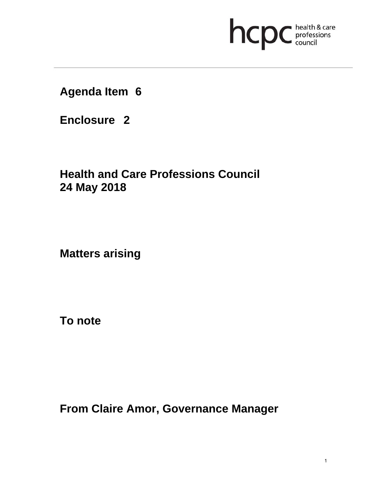## hcpc health & care

### **Agenda Item 6**

**Enclosure 2**

## **Health and Care Professions Council 24 May 2018**

**Matters arising** 

**To note** 

**From Claire Amor, Governance Manager**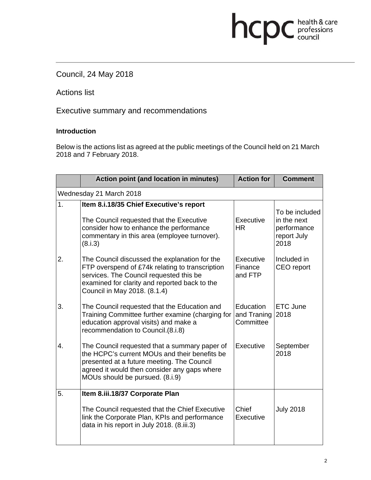# hcpc health & care

#### Council, 24 May 2018

Actions list

Executive summary and recommendations

#### **Introduction**

Below is the actions list as agreed at the public meetings of the Council held on 21 March 2018 and 7 February 2018.

|                         | <b>Action point (and location in minutes)</b>                                                                                                                                                                                   | <b>Action for</b>                     | <b>Comment</b>                                                      |  |  |
|-------------------------|---------------------------------------------------------------------------------------------------------------------------------------------------------------------------------------------------------------------------------|---------------------------------------|---------------------------------------------------------------------|--|--|
| Wednesday 21 March 2018 |                                                                                                                                                                                                                                 |                                       |                                                                     |  |  |
| 1.                      | Item 8.i.18/35 Chief Executive's report<br>The Council requested that the Executive<br>consider how to enhance the performance<br>commentary in this area (employee turnover).<br>(8.i.3)                                       | Executive<br>HR.                      | To be included<br>in the next<br>performance<br>report July<br>2018 |  |  |
| 2.                      | The Council discussed the explanation for the<br>FTP overspend of £74k relating to transcription<br>services. The Council requested this be<br>examined for clarity and reported back to the<br>Council in May 2018. (8.1.4)    | Executive<br>Finance<br>and FTP       | Included in<br>CEO report                                           |  |  |
| 3.                      | The Council requested that the Education and<br>Training Committee further examine (charging for<br>education approval visits) and make a<br>recommendation to Council.(8.i.8)                                                  | Education<br>and Traning<br>Committee | <b>ETC June</b><br>2018                                             |  |  |
| 4.                      | The Council requested that a summary paper of<br>the HCPC's current MOUs and their benefits be<br>presented at a future meeting. The Council<br>agreed it would then consider any gaps where<br>MOUs should be pursued. (8.i.9) | Executive                             | September<br>2018                                                   |  |  |
| 5.                      | Item 8.iii.18/37 Corporate Plan<br>The Council requested that the Chief Executive<br>link the Corporate Plan, KPIs and performance<br>data in his report in July 2018. (8.iii.3)                                                | Chief<br>Executive                    | <b>July 2018</b>                                                    |  |  |